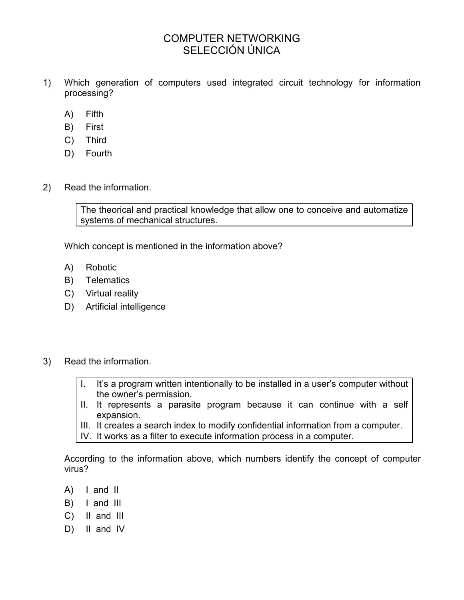# COMPUTER NETWORKING SELECCIÓN ÚNICA

- 1) Which generation of computers used integrated circuit technology for information processing?
	- A) Fifth
	- B) First
	- C) Third
	- D) Fourth
- 2) Read the information.

The theorical and practical knowledge that allow one to conceive and automatize systems of mechanical structures.

Which concept is mentioned in the information above?

- A) Robotic
- B) Telematics
- C) Virtual reality
- D) Artificial intelligence
- 3) Read the information.
	- I. It's a program written intentionally to be installed in a user's computer without the owner's permission.
	- II. It represents a parasite program because it can continue with a self expansion.
	- III. It creates a search index to modify confidential information from a computer.
	- IV. It works as a filter to execute information process in a computer.

According to the information above, which numbers identify the concept of computer virus?

- A) I and II
- B) I and III
- C) II and III
- D) II and IV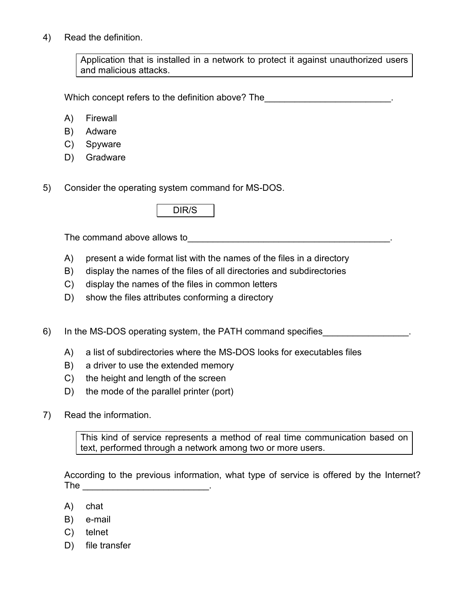4) Read the definition.

Application that is installed in a network to protect it against unauthorized users and malicious attacks.

Which concept refers to the definition above? The

- A) Firewall
- B) Adware
- C) Spyware
- D) Gradware
- 5) Consider the operating system command for MS-DOS.

|--|

The command above allows to example the command  $\sim$ 

- A) present a wide format list with the names of the files in a directory
- B) display the names of the files of all directories and subdirectories
- C) display the names of the files in common letters
- D) show the files attributes conforming a directory
- 6) In the MS-DOS operating system, the PATH command specifies
	- A) a list of subdirectories where the MS-DOS looks for executables files
	- B) a driver to use the extended memory
	- C) the height and length of the screen
	- D) the mode of the parallel printer (port)
- 7) Read the information.

This kind of service represents a method of real time communication based on text, performed through a network among two or more users.

According to the previous information, what type of service is offered by the Internet? The \_\_\_\_\_\_\_\_\_\_\_\_\_\_\_\_\_\_\_\_\_\_\_\_\_\_\_\_\_\_\_\_\_\_.

- A) chat
- B) e-mail
- C) telnet
- D) file transfer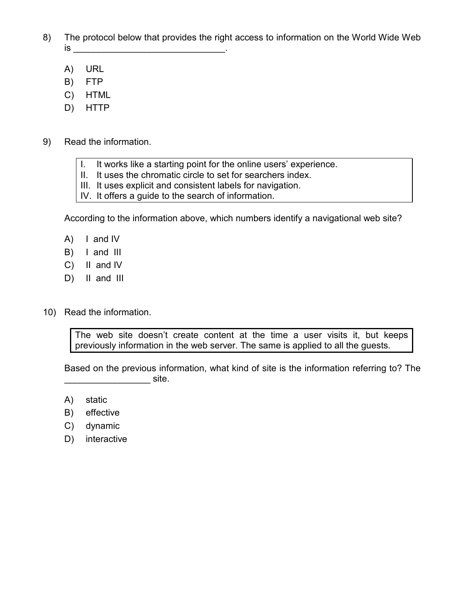- 8) The protocol below that provides the right access to information on the World Wide Web is  $\rule{1em}{0.15mm}$ 
	- A) URL
	- B) FTP
	- C) HTML
	- D) HTTP
- 9) Read the information.
	- I. It works like a starting point for the online users' experience.
	- II. It uses the chromatic circle to set for searchers index.
	- III. It uses explicit and consistent labels for navigation.
	- IV. It offers a guide to the search of information.

According to the information above, which numbers identify a navigational web site?

- A) I and IV
- B) I and III
- C) II and IV
- D) II and III
- 10) Read the information.

The web site doesn't create content at the time a user visits it, but keeps previously information in the web server. The same is applied to all the guests.

Based on the previous information, what kind of site is the information referring to? The  $\blacksquare$  site.

- A) static
- B) effective
- C) dynamic
- D) interactive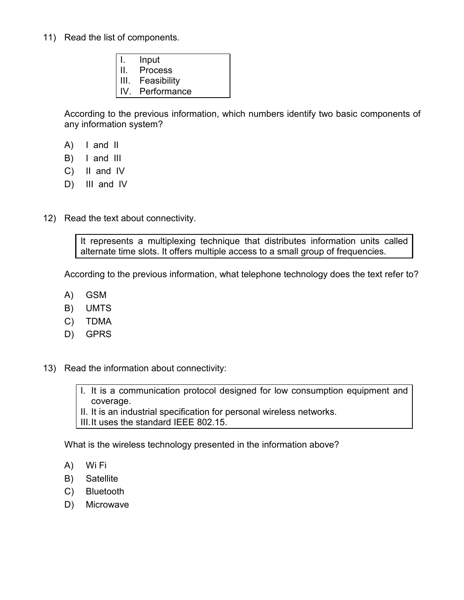- 11) Read the list of components.
	- I. Input
	- II. Process
	- III. Feasibility
	- IV. Performance

According to the previous information, which numbers identify two basic components of any information system?

- A) I and II
- B) I and III
- C) II and IV
- D) III and IV
- 12) Read the text about connectivity.

It represents a multiplexing technique that distributes information units called alternate time slots. It offers multiple access to a small group of frequencies.

According to the previous information, what telephone technology does the text refer to?

- A) GSM
- B) UMTS
- C) TDMA
- D) GPRS
- 13) Read the information about connectivity:

I. It is a communication protocol designed for low consumption equipment and coverage.

II. It is an industrial specification for personal wireless networks.

III. It uses the standard IEEE 802.15.

What is the wireless technology presented in the information above?

- A) Wi Fi
- B) Satellite
- C) Bluetooth
- D) Microwave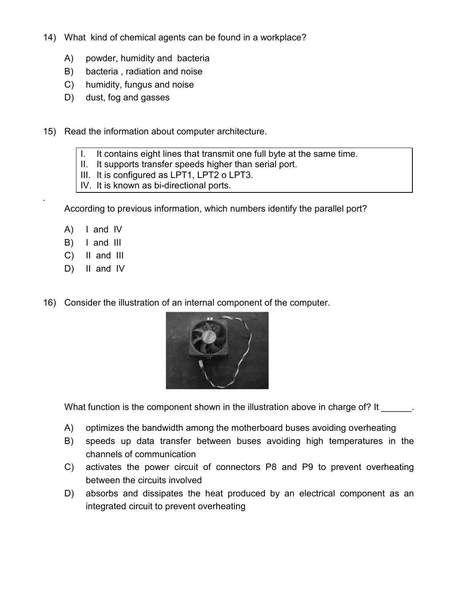- 14) What kind of chemical agents can be found in a workplace?
	- A) powder, humidity and bacteria
	- B) bacteria , radiation and noise
	- C) humidity, fungus and noise
	- D) dust, fog and gasses
- 15) Read the information about computer architecture.
	- I. It contains eight lines that transmit one full byte at the same time.
	- II. It supports transfer speeds higher than serial port.
	- III. It is configured as LPT1, LPT2 o LPT3.
	- IV. It is known as bi-directional ports.

According to previous information, which numbers identify the parallel port?

A) I and IV

.

- B) I and III
- C) II and III
- D) II and IV
- 16) Consider the illustration of an internal component of the computer.



What function is the component shown in the illustration above in charge of? It

- A) optimizes the bandwidth among the motherboard buses avoiding overheating
- B) speeds up data transfer between buses avoiding high temperatures in the channels of communication
- C) activates the power circuit of connectors P8 and P9 to prevent overheating between the circuits involved
- D) absorbs and dissipates the heat produced by an electrical component as an integrated circuit to prevent overheating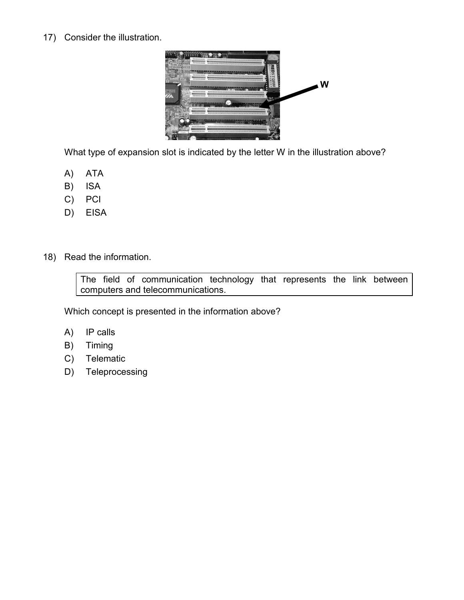17) Consider the illustration.



What type of expansion slot is indicated by the letter W in the illustration above?

- A) ATA
- B) ISA
- C) PCI
- D) EISA
- 18) Read the information.

The field of communication technology that represents the link between computers and telecommunications.

Which concept is presented in the information above?

- A) IP calls
- B) Timing
- C) Telematic
- D) Teleprocessing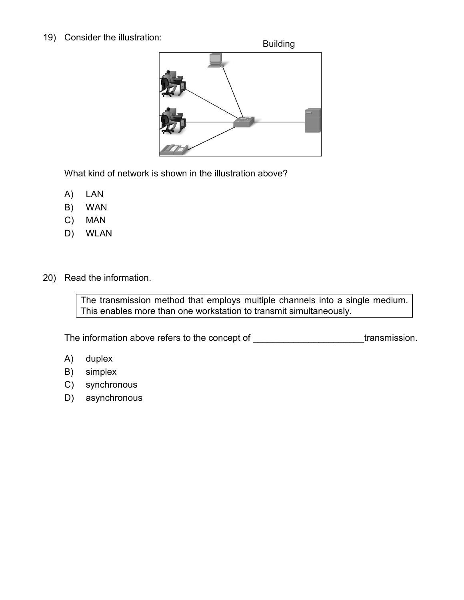#### 19) Consider the illustration:

Building



What kind of network is shown in the illustration above?

- A) LAN
- B) WAN
- C) MAN
- D) WLAN
- 20) Read the information.

The transmission method that employs multiple channels into a single medium. This enables more than one workstation to transmit simultaneously.

The information above refers to the concept of \_\_\_\_\_\_\_\_\_\_\_\_\_\_\_\_\_\_\_\_\_\_\_\_transmission.

- A) duplex
- B) simplex
- C) synchronous
- D) asynchronous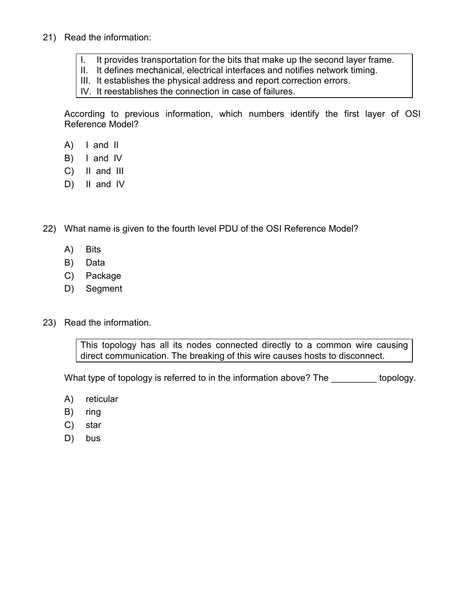#### 21) Read the information:

- I. It provides transportation for the bits that make up the second layer frame.
- II. It defines mechanical, electrical interfaces and notifies network timing.
- III. It establishes the physical address and report correction errors.
- IV. It reestablishes the connection in case of failures.

According to previous information, which numbers identify the first layer of OSI Reference Model?

- A) I and II
- B) I and IV
- C) II and III
- D) II and IV
- 22) What name is given to the fourth level PDU of the OSI Reference Model?
	- A) Bits
	- B) Data
	- C) Package
	- D) Segment
- 23) Read the information.

This topology has all its nodes connected directly to a common wire causing direct communication. The breaking of this wire causes hosts to disconnect.

What type of topology is referred to in the information above? The \_\_\_\_\_\_\_\_\_\_ topology.

- A) reticular
- B) ring
- C) star
- D) bus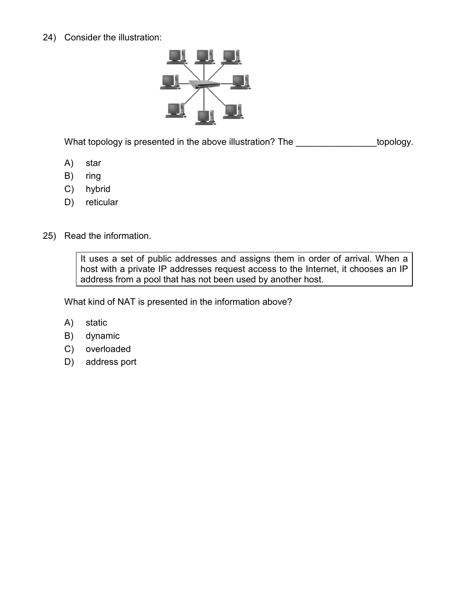24) Consider the illustration:



What topology is presented in the above illustration? The \_\_\_\_\_\_\_\_\_\_\_\_\_\_\_\_topology.

- A) star
- B) ring
- C) hybrid
- D) reticular
- 25) Read the information.

It uses a set of public addresses and assigns them in order of arrival. When a host with a private IP addresses request access to the Internet, it chooses an IP address from a pool that has not been used by another host.

What kind of NAT is presented in the information above?

- A) static
- B) dynamic
- C) overloaded
- D) address port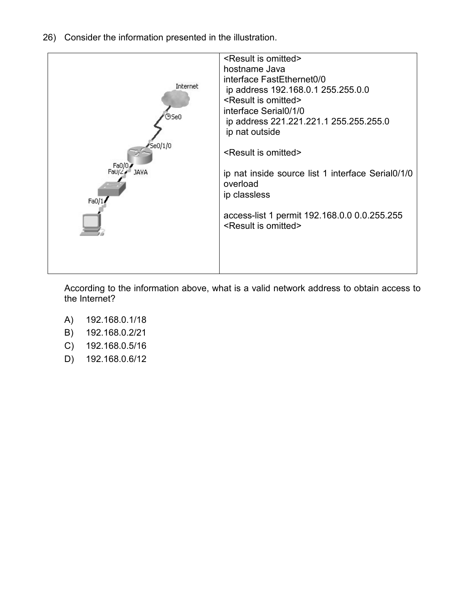26) Consider the information presented in the illustration.



According to the information above, what is a valid network address to obtain access to the Internet?

- A) 192.168.0.1/18
- B) 192.168.0.2/21
- C) 192.168.0.5/16
- D) 192.168.0.6/12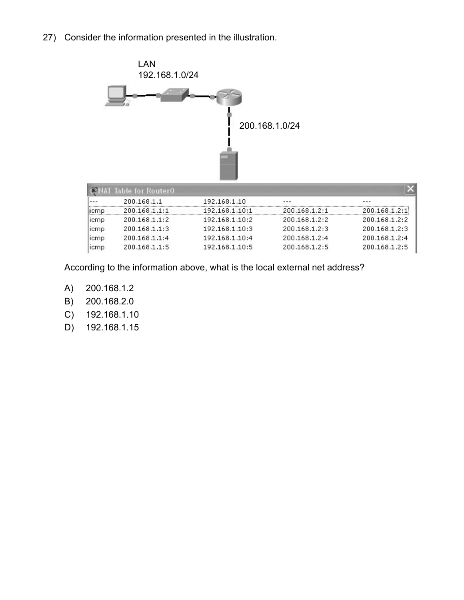27) Consider the information presented in the illustration.



| NAT Table for Router0. |               |                |               |               |  |  |
|------------------------|---------------|----------------|---------------|---------------|--|--|
|                        | 200.168.1.1   | 192.168.1.10   |               |               |  |  |
| licmp.                 | 200.168.1.1:1 | 192.168.1.10:1 | 200.168.1.2:1 | 200.168.1.2:1 |  |  |
| <b>ICMP</b>            | 200.168.1.1:2 | 192.168.1.10:2 | 200.168.1.2:2 | 200.168.1.2:2 |  |  |
| <b>ICMP</b>            | 200.168.1.1:3 | 192.168.1.10:3 | 200.168.1.2:3 | 200.168.1.2:3 |  |  |
| <b>ICMP</b>            | 200.168.1.1:4 | 192.168.1.10:4 | 200.168.1.2:4 | 200.168.1.2:4 |  |  |
| <b>ICMP</b>            | 200.168.1.1:5 | 192.168.1.10:5 | 200.168.1.2:5 | 200.168.1.2:5 |  |  |

According to the information above, what is the local external net address?

- A) 200.168.1.2
- B) 200.168.2.0
- C) 192.168.1.10
- D) 192.168.1.15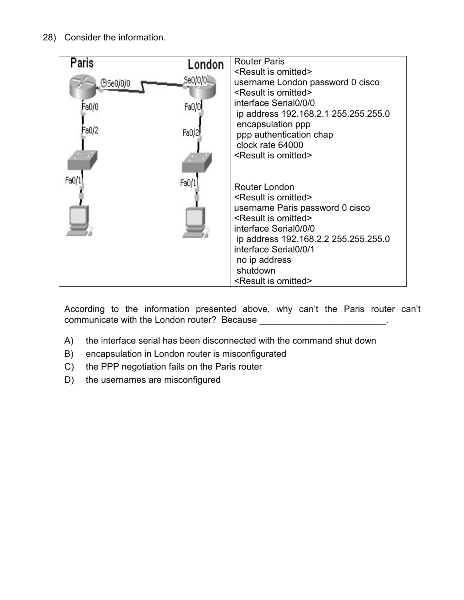28) Consider the information.



According to the information presented above, why can't the Paris router can't communicate with the London router? Because \_\_\_\_\_\_\_\_\_\_\_\_\_\_\_\_\_\_\_\_\_\_\_\_\_.

- A) the interface serial has been disconnected with the command shut down
- B) encapsulation in London router is misconfigurated
- C) the PPP negotiation fails on the Paris router
- D) the usernames are misconfigured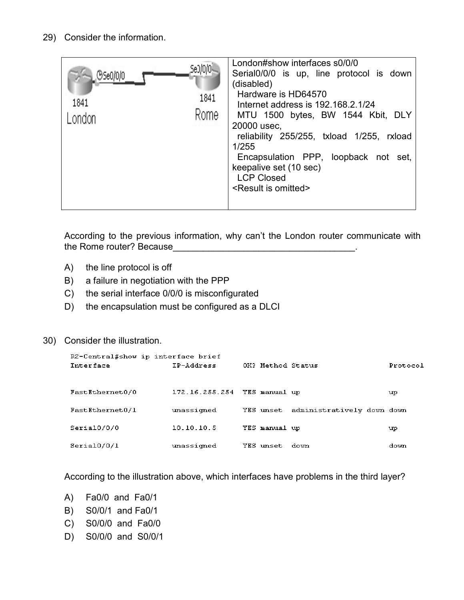## 29) Consider the information.

| Se0/0/0<br>(95e0/0/0<br>1841<br>1841<br>Rome | London#show interfaces s0/0/0<br>Serial0/0/0 is up, line protocol is down<br>(disabled)<br>Hardware is HD64570<br>Internet address is 192,168.2.1/24<br>MTU 1500 bytes, BW 1544 Kbit, DLY<br>20000 usec,<br>reliability 255/255, txload 1/255, rxload<br>1/255<br>Encapsulation PPP, loopback not set,<br>keepalive set (10 sec)<br><b>LCP Closed</b><br><result is="" omitted=""></result> |
|----------------------------------------------|---------------------------------------------------------------------------------------------------------------------------------------------------------------------------------------------------------------------------------------------------------------------------------------------------------------------------------------------------------------------------------------------|
|----------------------------------------------|---------------------------------------------------------------------------------------------------------------------------------------------------------------------------------------------------------------------------------------------------------------------------------------------------------------------------------------------------------------------------------------------|

According to the previous information, why can't the London router communicate with the Rome router? Because

- A) the line protocol is off
- B) a failure in negotiation with the PPP
- C) the serial interface 0/0/0 is misconfigurated
- D) the encapsulation must be configured as a DLCI

#### 30) Consider the illustration.

| R2-Central#show ip interface brief<br><b>Interface</b> | IP-Address                   | OK? Method Status |                            | Protocol |
|--------------------------------------------------------|------------------------------|-------------------|----------------------------|----------|
| FastEthernet0/0                                        | 172.16.255.254 YES manual up |                   |                            | up       |
| FastEthernet0/1                                        | unassigned                   | YES unset         | administratively down down |          |
| Serial0/0/0                                            | 10.10.10.5                   | YES manual up     |                            | up       |
| Serial0/0/1                                            | unassigned                   | YES unset         | down                       | down     |

According to the illustration above, which interfaces have problems in the third layer?

- A) Fa0/0 and Fa0/1
- B) S0/0/1 and Fa0/1
- C) S0/0/0 and Fa0/0
- D) S0/0/0 and S0/0/1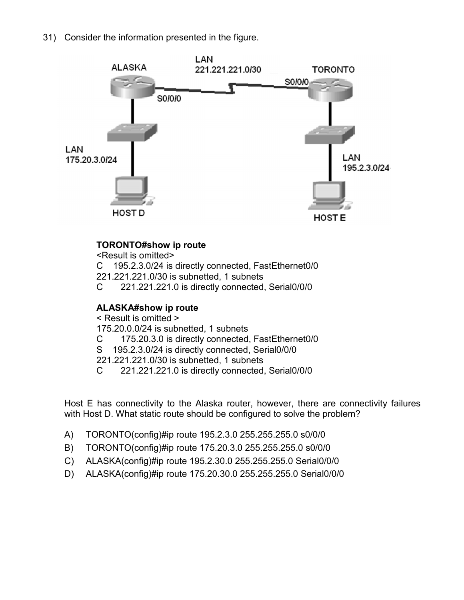31) Consider the information presented in the figure.



# **TORONTO#show ip route**

<Result is omitted>

C 195.2.3.0/24 is directly connected, FastEthernet0/0

221.221.221.0/30 is subnetted, 1 subnets

C 221.221.221.0 is directly connected, Serial0/0/0

# **ALASKA#show ip route**

< Result is omitted >

175.20.0.0/24 is subnetted, 1 subnets

- C 175.20.3.0 is directly connected, FastEthernet0/0
- S 195.2.3.0/24 is directly connected, Serial0/0/0

221.221.221.0/30 is subnetted, 1 subnets

C 221.221.221.0 is directly connected, Serial0/0/0

Host E has connectivity to the Alaska router, however, there are connectivity failures with Host D. What static route should be configured to solve the problem?

- A) TORONTO(config)#ip route 195.2.3.0 255.255.255.0 s0/0/0
- B) TORONTO(config)#ip route 175.20.3.0 255.255.255.0 s0/0/0
- C) ALASKA(config)#ip route 195.2.30.0 255.255.255.0 Serial0/0/0
- D) ALASKA(config)#ip route 175.20.30.0 255.255.255.0 Serial0/0/0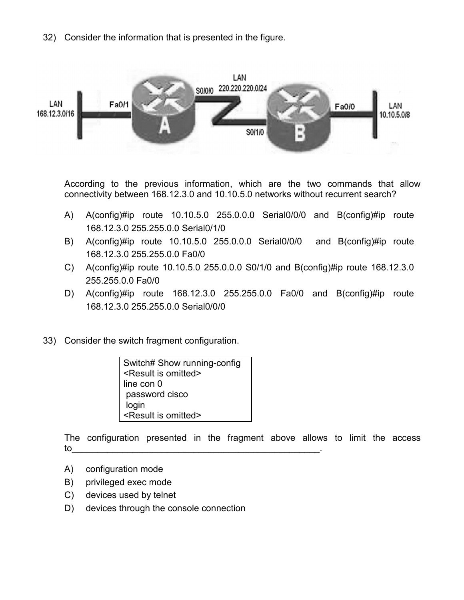32) Consider the information that is presented in the figure.



According to the previous information, which are the two commands that allow connectivity between 168.12.3.0 and 10.10.5.0 networks without recurrent search?

- A) A(config)#ip route 10.10.5.0 255.0.0.0 Serial0/0/0 and B(config)#ip route 168.12.3.0 255.255.0.0 Serial0/1/0
- B) A(config)#ip route 10.10.5.0 255.0.0.0 Serial0/0/0 and B(config)#ip route 168.12.3.0 255.255.0.0 Fa0/0
- C) A(config)#ip route 10.10.5.0 255.0.0.0 S0/1/0 and B(config)#ip route 168.12.3.0 255.255.0.0 Fa0/0
- D) A(config)#ip route 168.12.3.0 255.255.0.0 Fa0/0 and B(config)#ip route 168.12.3.0 255.255.0.0 Serial0/0/0
- 33) Consider the switch fragment configuration.

Switch# Show running-config <Result is omitted> line con 0 password cisco login <Result is omitted>

The configuration presented in the fragment above allows to limit the access to\_\_\_\_\_\_\_\_\_\_\_\_\_\_\_\_\_\_\_\_\_\_\_\_\_\_\_\_\_\_\_\_\_\_\_\_\_\_\_\_\_\_\_\_\_\_\_\_\_.

- A) configuration mode
- B) privileged exec mode
- C) devices used by telnet
- D) devices through the console connection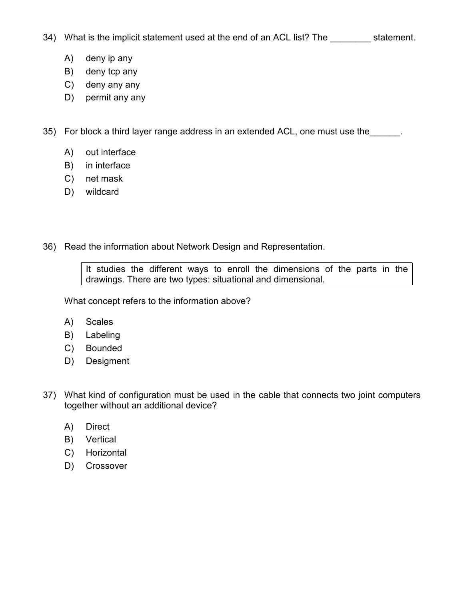- 34) What is the implicit statement used at the end of an ACL list? The statement.
	- A) deny ip any
	- B) deny tcp any
	- C) deny any any
	- D) permit any any

35) For block a third layer range address in an extended ACL, one must use the \_\_\_\_\_\_.

- A) out interface
- B) in interface
- C) net mask
- D) wildcard
- 36) Read the information about Network Design and Representation.

It studies the different ways to enroll the dimensions of the parts in the drawings. There are two types: situational and dimensional.

What concept refers to the information above?

- A) Scales
- B) Labeling
- C) Bounded
- D) Desigment
- 37) What kind of configuration must be used in the cable that connects two joint computers together without an additional device?
	- A) Direct
	- B) Vertical
	- C) Horizontal
	- D) Crossover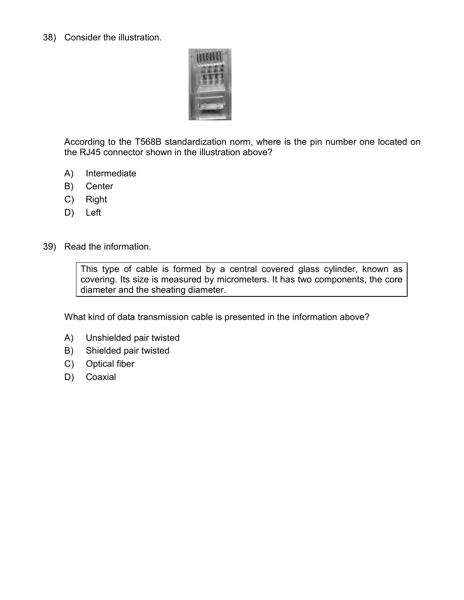38) Consider the illustration.



According to the T568B standardization norm, where is the pin number one located on the RJ45 connector shown in the illustration above?

- A) Intermediate
- B) Center
- C) Right
- D) Left
- 39) Read the information.

This type of cable is formed by a central covered glass cylinder, known as covering. Its size is measured by micrometers. It has two components, the core diameter and the sheating diameter.

What kind of data transmission cable is presented in the information above?

- A) Unshielded pair twisted
- B) Shielded pair twisted
- C) Optical fiber
- D) Coaxial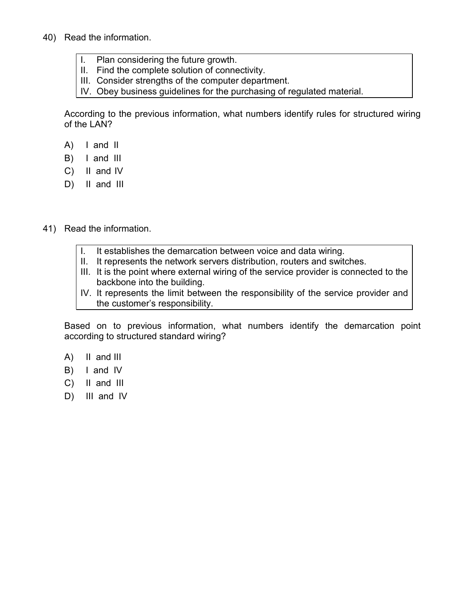- 40) Read the information.
	- I. Plan considering the future growth.
	- II. Find the complete solution of connectivity.
	- III. Consider strengths of the computer department.
	- IV. Obey business guidelines for the purchasing of regulated material.

According to the previous information, what numbers identify rules for structured wiring of the LAN?

- A) I and II
- B) I and III
- C) II and IV
- D) II and III
- 41) Read the information.
	- I. It establishes the demarcation between voice and data wiring.
	- II. It represents the network servers distribution, routers and switches.
	- III. It is the point where external wiring of the service provider is connected to the backbone into the building.
	- IV. It represents the limit between the responsibility of the service provider and the customer's responsibility.

Based on to previous information, what numbers identify the demarcation point according to structured standard wiring?

- A) II and III
- B) I and IV
- C) II and III
- D) III and IV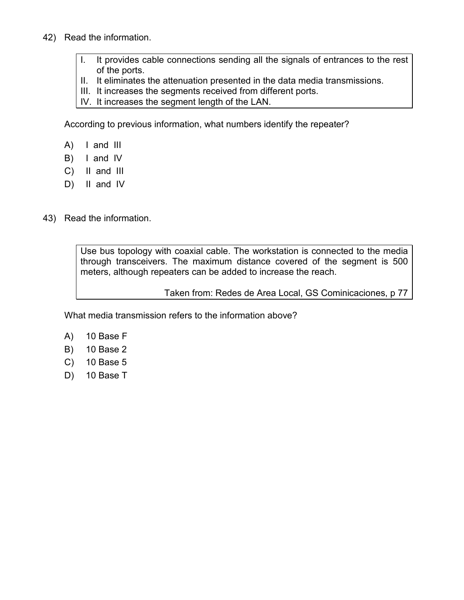- 42) Read the information.
	- I. It provides cable connections sending all the signals of entrances to the rest of the ports.
	- II. It eliminates the attenuation presented in the data media transmissions.
	- III. It increases the segments received from different ports.
	- IV. It increases the segment length of the LAN.

According to previous information, what numbers identify the repeater?

- A) I and III
- B) I and IV
- C) II and III
- D) II and IV
- 43) Read the information.

Use bus topology with coaxial cable. The workstation is connected to the media through transceivers. The maximum distance covered of the segment is 500 meters, although repeaters can be added to increase the reach.

Taken from: Redes de Area Local, GS Cominicaciones, p 77

What media transmission refers to the information above?

- A) 10 Base F
- B) 10 Base 2
- C) 10 Base 5
- D) 10 Base T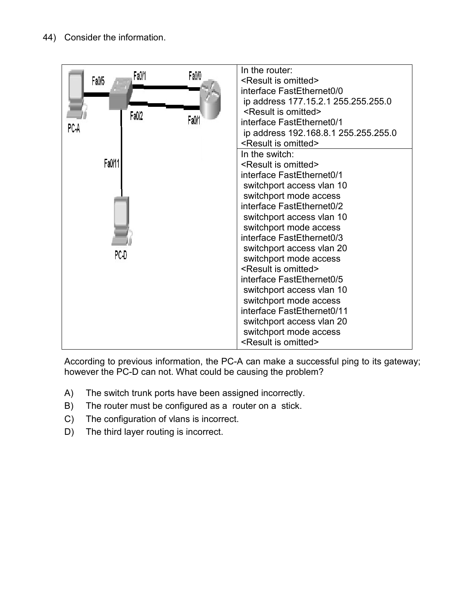

According to previous information, the PC-A can make a successful ping to its gateway; however the PC-D can not. What could be causing the problem?

- A) The switch trunk ports have been assigned incorrectly.
- B) The router must be configured as a router on a stick.
- C) The configuration of vlans is incorrect.
- D) The third layer routing is incorrect.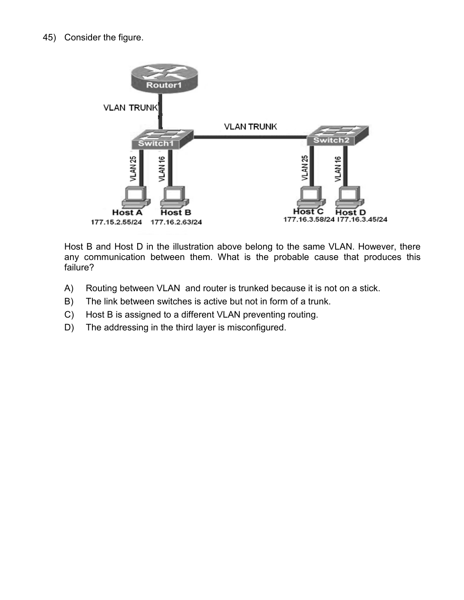

Host B and Host D in the illustration above belong to the same VLAN. However, there any communication between them. What is the probable cause that produces this failure?

- A) Routing between VLAN and router is trunked because it is not on a stick.
- B) The link between switches is active but not in form of a trunk.
- C) Host B is assigned to a different VLAN preventing routing.
- D) The addressing in the third layer is misconfigured.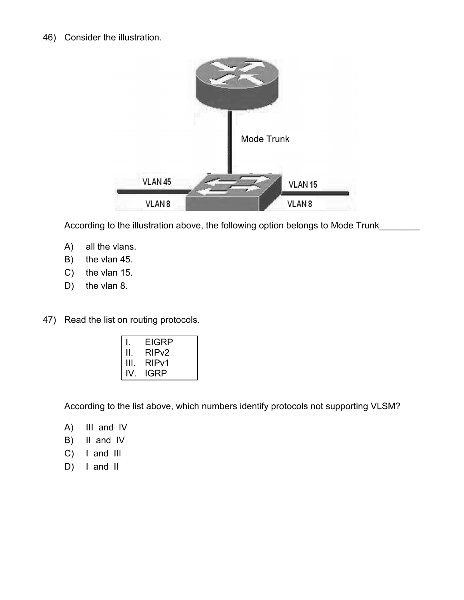#### 46) Consider the illustration.



According to the illustration above, the following option belongs to Mode Trunk\_

- A) all the vlans.
- B) the vlan 45.
- C) the vlan 15.
- D) the vlan 8.
- 47) Read the list on routing protocols.

|      | <b>EIGRP</b>       |  |
|------|--------------------|--|
| Ш.   | RIP <sub>v</sub> 2 |  |
| III. | RIP <sub>v1</sub>  |  |
| IV.  | <b>IGRP</b>        |  |

According to the list above, which numbers identify protocols not supporting VLSM?

- A) III and IV
- B) II and IV
- C) I and III
- D) I and II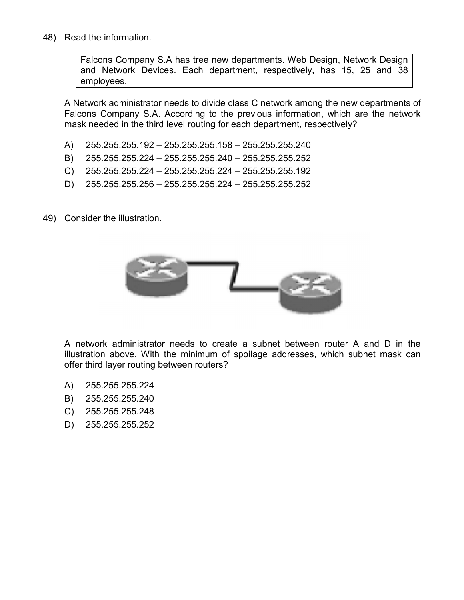48) Read the information.

Falcons Company S.A has tree new departments. Web Design, Network Design and Network Devices. Each department, respectively, has 15, 25 and 38 employees.

A Network administrator needs to divide class C network among the new departments of Falcons Company S.A. According to the previous information, which are the network mask needed in the third level routing for each department, respectively?

- A) 255.255.255.192 255.255.255.158 255.255.255.240
- B) 255.255.255.224 255.255.255.240 255.255.255.252
- C) 255.255.255.224 255.255.255.224 255.255.255.192
- D) 255.255.255.256 255.255.255.224 255.255.255.252
- 49) Consider the illustration.



A network administrator needs to create a subnet between router A and D in the illustration above. With the minimum of spoilage addresses, which subnet mask can offer third layer routing between routers?

- A) 255.255.255.224
- B) 255.255.255.240
- C) 255.255.255.248
- D) 255.255.255.252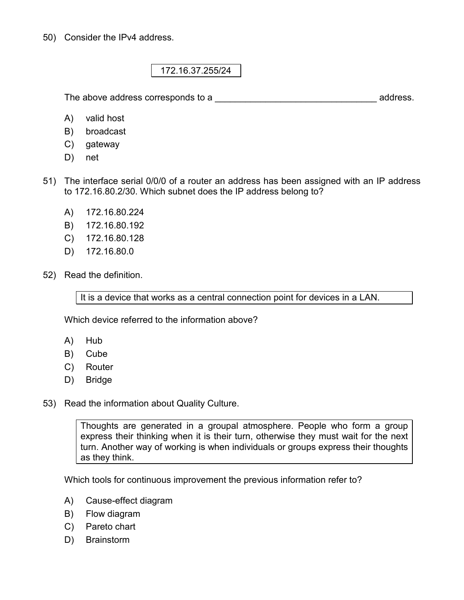50) Consider the IPv4 address.

172.16.37.255/24

The above address corresponds to a \_\_\_\_\_\_\_\_\_\_\_\_\_\_\_\_\_\_\_\_\_\_\_\_\_\_\_\_\_\_\_\_ address.

- A) valid host
- B) broadcast
- C) gateway
- D) net
- 51) The interface serial 0/0/0 of a router an address has been assigned with an IP address to 172.16.80.2/30. Which subnet does the IP address belong to?
	- A) 172.16.80.224
	- B) 172.16.80.192
	- C) 172.16.80.128
	- D) 172.16.80.0
- 52) Read the definition.

It is a device that works as a central connection point for devices in a LAN.

Which device referred to the information above?

- A) Hub
- B) Cube
- C) Router
- D) Bridge

53) Read the information about Quality Culture.

Thoughts are generated in a groupal atmosphere. People who form a group express their thinking when it is their turn, otherwise they must wait for the next turn. Another way of working is when individuals or groups express their thoughts as they think.

Which tools for continuous improvement the previous information refer to?

- A) Cause-effect diagram
- B) Flow diagram
- C) Pareto chart
- D) Brainstorm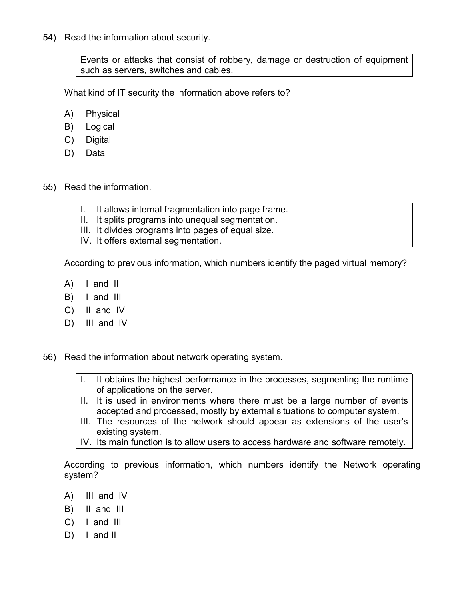54) Read the information about security.

Events or attacks that consist of robbery, damage or destruction of equipment such as servers, switches and cables.

What kind of IT security the information above refers to?

- A) Physical
- B) Logical
- C) Digital
- D) Data
- 55) Read the information.
	- I. It allows internal fragmentation into page frame.
	- II. It splits programs into unequal segmentation.
	- III. It divides programs into pages of equal size.
	- IV. It offers external segmentation.

According to previous information, which numbers identify the paged virtual memory?

- A) I and II
- B) I and III
- C) II and IV
- D) III and IV

56) Read the information about network operating system.

- I. It obtains the highest performance in the processes, segmenting the runtime of applications on the server.
- II. It is used in environments where there must be a large number of events accepted and processed, mostly by external situations to computer system.
- III. The resources of the network should appear as extensions of the user's existing system.

IV. Its main function is to allow users to access hardware and software remotely.

According to previous information, which numbers identify the Network operating system?

- A) III and IV
- B) II and III
- C) I and III
- $D)$  I and II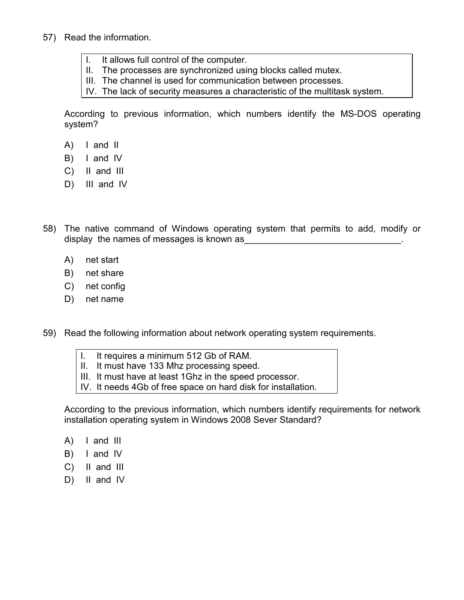- 57) Read the information.
	- I. It allows full control of the computer.
	- II. The processes are synchronized using blocks called mutex.
	- III. The channel is used for communication between processes.
	- IV. The lack of security measures a characteristic of the multitask system.

According to previous information, which numbers identify the MS-DOS operating system?

- A) I and II
- B) I and IV
- C) II and III
- D) III and IV
- 58) The native command of Windows operating system that permits to add, modify or display the names of messages is known as
	- A) net start
	- B) net share
	- C) net config
	- D) net name
- 59) Read the following information about network operating system requirements.
	- I. It requires a minimum 512 Gb of RAM.
	- II. It must have 133 Mhz processing speed.
	- III. It must have at least 1Ghz in the speed processor.
	- IV. It needs 4Gb of free space on hard disk for installation.

According to the previous information, which numbers identify requirements for network installation operating system in Windows 2008 Sever Standard?

- A) I and III
- B) I and IV
- C) II and III
- D) II and IV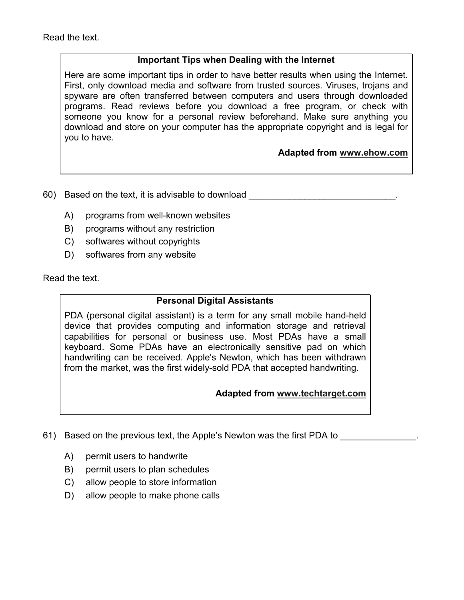## **Important Tips when Dealing with the Internet**

Here are some important tips in order to have better results when using the Internet. First, only download media and software from trusted sources. Viruses, trojans and spyware are often transferred between computers and users through downloaded programs. Read reviews before you download a free program, or check with someone you know for a personal review beforehand. Make sure anything you download and store on your computer has the appropriate copyright and is legal for you to have.

# **Adapted from www.ehow.com**

60) Based on the text, it is advisable to download

- A) programs from well-known websites
- B) programs without any restriction
- C) softwares without copyrights
- D) softwares from any website

Read the text.

#### **Personal Digital Assistants**

PDA (personal digital assistant) is a term for any small mobile hand-held device that provides computing and information storage and retrieval capabilities for personal or business use. Most PDAs have a small keyboard. Some PDAs have an electronically sensitive pad on which handwriting can be received. Apple's Newton, which has been withdrawn from the market, was the first widely-sold PDA that accepted handwriting.

## **Adapted from www.techtarget.com**

- 61) Based on the previous text, the Apple's Newton was the first PDA to **EXECUTE:** 
	- A) permit users to handwrite
	- B) permit users to plan schedules
	- C) allow people to store information
	- D) allow people to make phone calls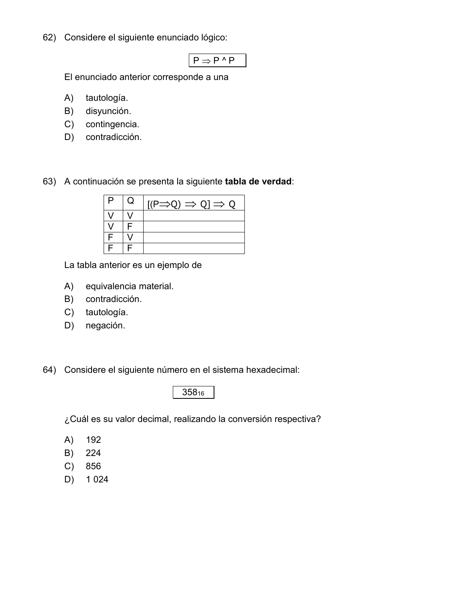62) Considere el siguiente enunciado lógico:

 $P \Rightarrow P^{\wedge} P$ 

El enunciado anterior corresponde a una

- A) tautología.
- B) disyunción.
- C) contingencia.
- D) contradicción.

63) A continuación se presenta la siguiente **tabla de verdad**:

| P | Q | $[(P \Rightarrow Q) \Rightarrow Q] \Rightarrow Q$ |
|---|---|---------------------------------------------------|
|   |   |                                                   |
|   |   |                                                   |
|   |   |                                                   |
|   |   |                                                   |

La tabla anterior es un ejemplo de

- A) equivalencia material.
- B) contradicción.
- C) tautología.
- D) negación.

64) Considere el siguiente número en el sistema hexadecimal:

358<sup>16</sup>

¿Cuál es su valor decimal, realizando la conversión respectiva?

- A) 192
- B) 224
- C) 856
- D) 1 024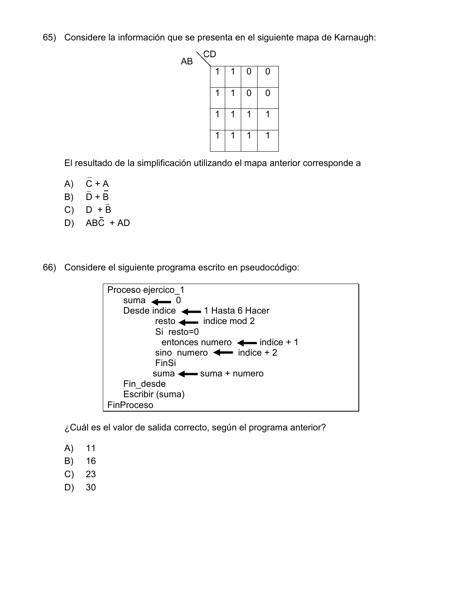65) Considere la información que se presenta en el siguiente mapa de Karnaugh:



El resultado de la simplificación utilizando el mapa anterior corresponde a

- $A)$   $\overline{C}$  + A
- B)  $\bar{D} + \bar{B}$
- $C)$  D +  $\overline{B}$
- D)  $AB\overline{C} + AD$

66) Considere el siguiente programa escrito en pseudocódigo:



¿Cuál es el valor de salida correcto, según el programa anterior?

- A) 11
- B) 16
- C) 23
- D) 30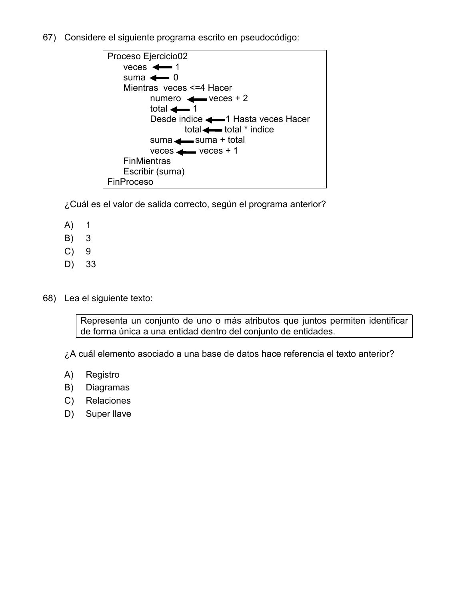67) Considere el siguiente programa escrito en pseudocódigo:



¿Cuál es el valor de salida correcto, según el programa anterior?

- A) 1
- B) 3
- C) 9
- D) 33
- 68) Lea el siguiente texto:

Representa un conjunto de uno o más atributos que juntos permiten identificar de forma única a una entidad dentro del conjunto de entidades.

¿A cuál elemento asociado a una base de datos hace referencia el texto anterior?

- A) Registro
- B) Diagramas
- C) Relaciones
- D) Super llave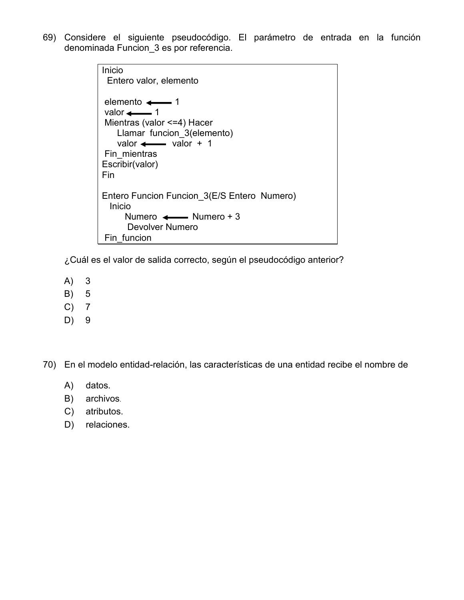69) Considere el siguiente pseudocódigo. El parámetro de entrada en la función denominada Funcion\_3 es por referencia.

| Inicio<br>Entero valor, elemento                                                                                                                                                          |
|-------------------------------------------------------------------------------------------------------------------------------------------------------------------------------------------|
| elemento $\leftarrow$ 1<br>valor $\leftarrow$ 1<br>Mientras (valor <=4) Hacer<br>Llamar funcion 3(elemento)<br>valor $\longleftarrow$ valor + 1<br>Fin mientras<br>Escribir(valor)<br>Fin |
| Entero Funcion Funcion 3(E/S Entero Numero)<br>Inicio<br>Numero $\leftarrow$ Numero + 3                                                                                                   |
| Devolver Numero                                                                                                                                                                           |
| Fin funcion                                                                                                                                                                               |

¿Cuál es el valor de salida correcto, según el pseudocódigo anterior?

- A) 3
- B) 5
- C) 7
- D) 9

70) En el modelo entidad-relación, las características de una entidad recibe el nombre de

- A) datos.
- B) archivos.
- C) atributos.
- D) relaciones.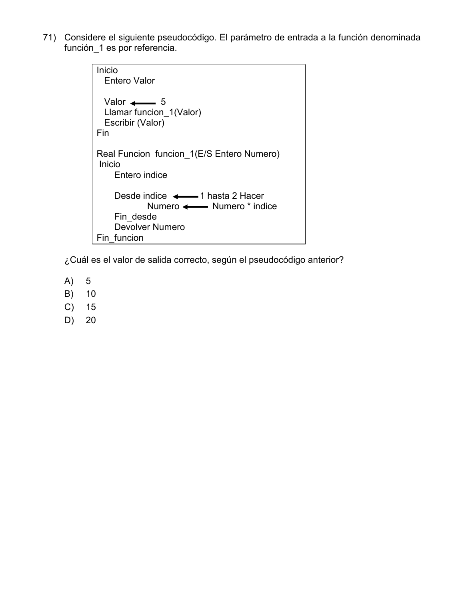71) Considere el siguiente pseudocódigo. El parámetro de entrada a la función denominada función\_1 es por referencia.

```
Inicio 
  Entero Valor 
 Valor \leftarrow 5
 Llamar funcion 1(Valor)
 Escribir (Valor)
Fin 
Real Funcion funcion 1(E/S Entero Numero)
 Inicio 
     Entero indice 
Desde indice \longleftarrow 1 hasta 2 Hacer
Numero <------ Numero * indice
     Fin_desde 
     Devolver Numero 
Fin_funcion
```
¿Cuál es el valor de salida correcto, según el pseudocódigo anterior?

- A) 5
- B) 10
- C) 15
- D) 20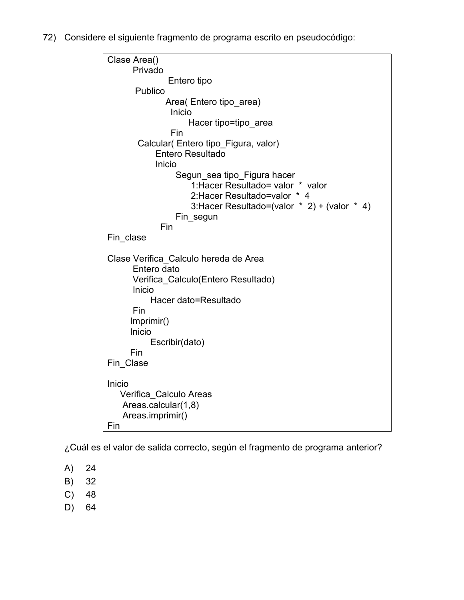72) Considere el siguiente fragmento de programa escrito en pseudocódigo:



¿Cuál es el valor de salida correcto, según el fragmento de programa anterior?

- A) 24
- B) 32
- C) 48
- D) 64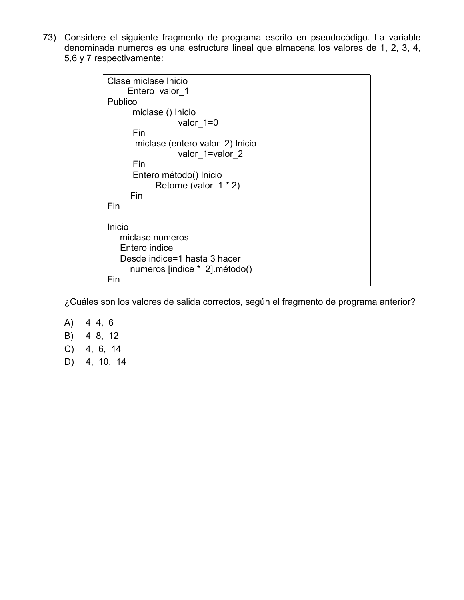73) Considere el siguiente fragmento de programa escrito en pseudocódigo. La variable denominada numeros es una estructura lineal que almacena los valores de 1, 2, 3, 4, 5,6 y 7 respectivamente:



¿Cuáles son los valores de salida correctos, según el fragmento de programa anterior?

- A) 4 4, 6 B) 4 8, 12 C) 4, 6, 14
- D) 4, 10, 14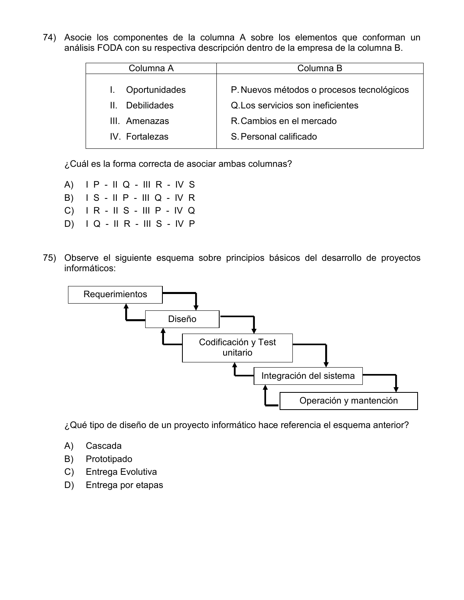74) Asocie los componentes de la columna A sobre los elementos que conforman un análisis FODA con su respectiva descripción dentro de la empresa de la columna B.

| Columna A                          | Columna B                                 |
|------------------------------------|-------------------------------------------|
|                                    |                                           |
| Oportunidades                      | P. Nuevos métodos o procesos tecnológicos |
| <b>Debilidades</b><br>$\mathbf{H}$ | Q. Los servicios son ineficientes         |
| III. Amenazas                      | R. Cambios en el mercado                  |
| IV. Fortalezas                     | S. Personal calificado                    |
|                                    |                                           |

¿Cuál es la forma correcta de asociar ambas columnas?

- A) I P II Q III R IV S B) I S - II P - III Q - IV R C) I R - II S - III P - IV Q
- D) I Q II R III S IV P
- 75) Observe el siguiente esquema sobre principios básicos del desarrollo de proyectos informáticos:



¿Qué tipo de diseño de un proyecto informático hace referencia el esquema anterior?

- A) Cascada
- B) Prototipado
- C) Entrega Evolutiva
- D) Entrega por etapas